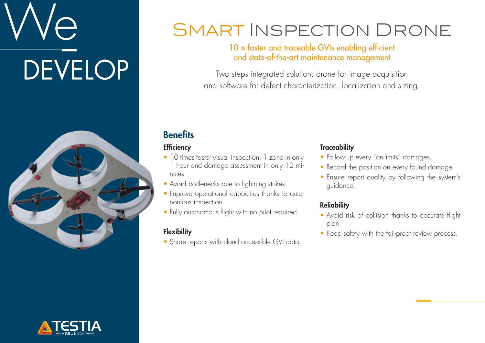# $\overline{\bigcirc}$ **DEVELOP**



## SMART INSPECTION DRONE

#### $10 \times$  faster and traceable GVIs enabling efficient and state-of-the-art maintenance management

Two steps integrated solution: drone for image acquisition and software for defect characterization, localization and sizing.

### **Benefits**

#### **Efficiency**

- 10 times faster visual inspection: 1 zone in only 1 hour and damage assessment in only 12 minutes.
- Avoid bottlenecks due to lightning strikes.
- Improve operational capacities thanks to autonomous inspection.
- Fully autonomous flight with no pilot required.

#### **Flexibility**

• Share reports with cloud accessible GVI data.

#### **Traceability**

- Follow-up every "on-limits" damages.
- Record the position on every found damage.
- Ensure report quality by following the system's guidance.

#### **Reliability**

- Avoid risk of collision thanks to accurate flight plan.
- Keep safety with the fail-proof review process.